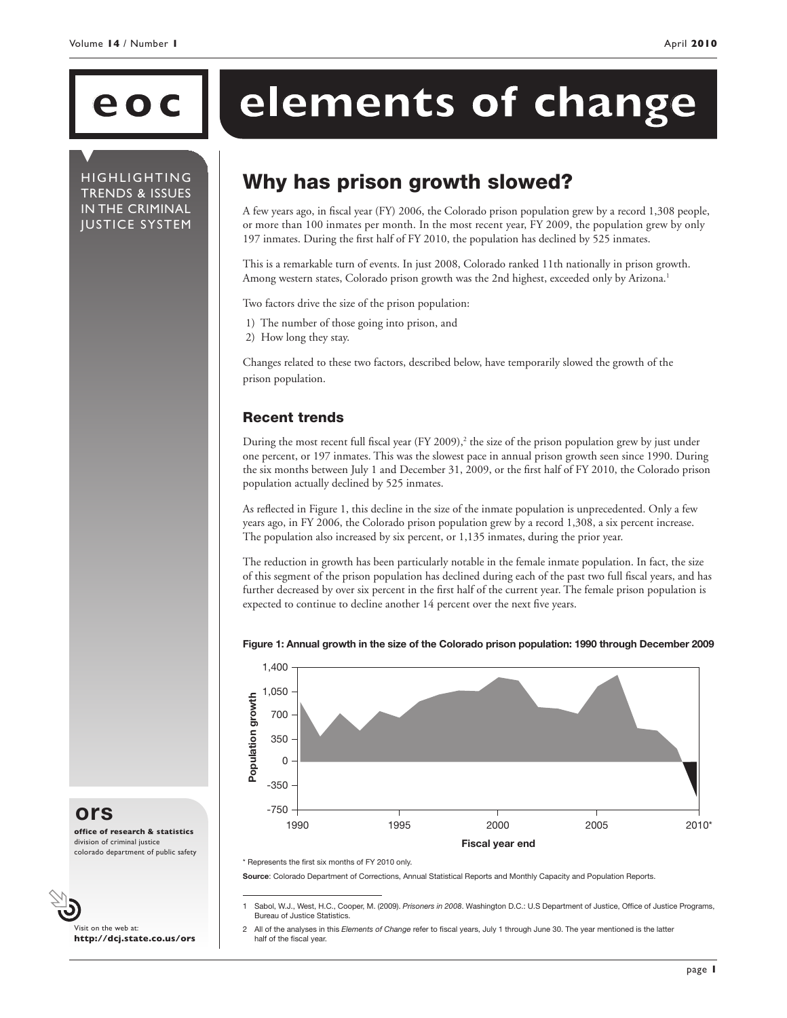HIGHLIGHTING TRENDS & ISSUES IN THE CRIMINAL JUSTICE SYSTEM

# **ec elements of change**

## Why has prison growth slowed?

A few years ago, in fiscal year (FY) 2006, the Colorado prison population grew by a record 1,308 people, or more than 100 inmates per month. In the most recent year, FY 2009, the population grew by only 197 inmates. During the first half of FY 2010, the population has declined by 525 inmates.

This is a remarkable turn of events. In just 2008, Colorado ranked 11th nationally in prison growth. Among western states, Colorado prison growth was the 2nd highest, exceeded only by Arizona.<sup>1</sup>

Two factors drive the size of the prison population:

- 1) The number of those going into prison, and
- 2) How long they stay.

Changes related to these two factors, described below, have temporarily slowed the growth of the prison population.

### Recent trends

During the most recent full fiscal year (FY 2009),<sup>2</sup> the size of the prison population grew by just under one percent, or 197 inmates. This was the slowest pace in annual prison growth seen since 1990. During the six months between July 1 and December 31, 2009, or the first half of FY 2010, the Colorado prison population actually declined by 525 inmates.

As reflected in Figure 1, this decline in the size of the inmate population is unprecedented. Only a few years ago, in FY 2006, the Colorado prison population grew by a record 1,308, a six percent increase. The population also increased by six percent, or 1,135 inmates, during the prior year.

The reduction in growth has been particularly notable in the female inmate population. In fact, the size of this segment of the prison population has declined during each of the past two full fiscal years, and has further decreased by over six percent in the first half of the current year. The female prison population is expected to continue to decline another 14 percent over the next five years.



#### Figure 1: Annual growth in the size of the Colorado prison population: 1990 through December 2009

Source: Colorado Department of Corrections, Annual Statistical Reports and Monthly Capacity and Population Reports.

**ors**

**office of research & statistics** division of criminal justice colorado department of public safety

Visit on the web at: **http://dcj.state.co.us/ors**

<sup>\*</sup> Represents the first six months of FY 2010 only.

<sup>1</sup> Sabol, W.J., West, H.C., Cooper, M. (2009). *Prisoners in 2008*. Washington D.C.: U.S Department of Justice, Office of Justice Programs, Bureau of Justice Statistics.

<sup>2</sup> All of the analyses in this *Elements of Change* refer to fiscal years, July 1 through June 30. The year mentioned is the latter half of the fiscal year.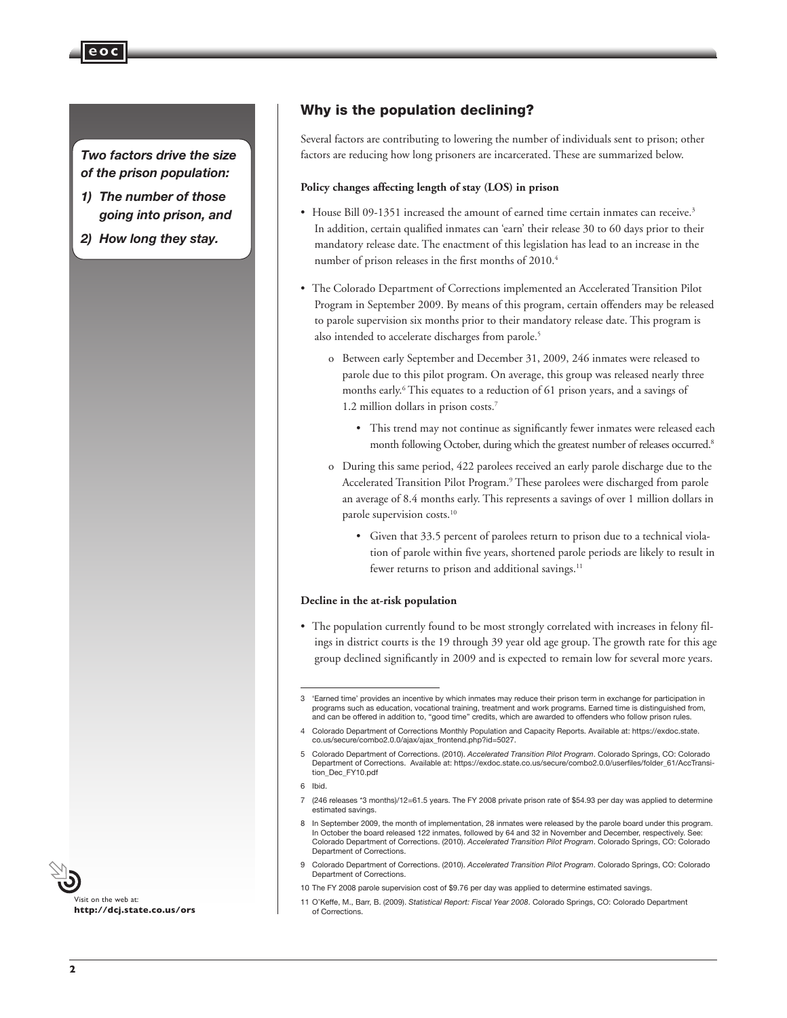#### *Two factors drive the size of the prison population:*

**eoc**

- *1) The number of those going into prison, and*
- *2) How long they stay.*

#### Why is the population declining?

Several factors are contributing to lowering the number of individuals sent to prison; other factors are reducing how long prisoners are incarcerated. These are summarized below.

#### **Policy changes affecting length of stay (LOS) in prison**

- House Bill 09-1351 increased the amount of earned time certain inmates can receive.<sup>3</sup> In addition, certain qualified inmates can 'earn' their release 30 to 60 days prior to their mandatory release date. The enactment of this legislation has lead to an increase in the number of prison releases in the first months of 2010.4
- The Colorado Department of Corrections implemented an Accelerated Transition Pilot Program in September 2009. By means of this program, certain offenders may be released to parole supervision six months prior to their mandatory release date. This program is also intended to accelerate discharges from parole.<sup>5</sup>
	- o Between early September and December 31, 2009, 246 inmates were released to parole due to this pilot program. On average, this group was released nearly three months early.<sup>6</sup> This equates to a reduction of 61 prison years, and a savings of 1.2 million dollars in prison costs.7
		- This trend may not continue as significantly fewer inmates were released each month following October, during which the greatest number of releases occurred.<sup>8</sup>
	- o During this same period, 422 parolees received an early parole discharge due to the Accelerated Transition Pilot Program.<sup>9</sup> These parolees were discharged from parole an average of 8.4 months early. This represents a savings of over 1 million dollars in parole supervision costs.<sup>10</sup>
		- • Given that 33.5 percent of parolees return to prison due to a technical violation of parole within five years, shortened parole periods are likely to result in fewer returns to prison and additional savings.<sup>11</sup>

#### **Decline in the at-risk population**

• The population currently found to be most strongly correlated with increases in felony filings in district courts is the 19 through 39 year old age group. The growth rate for this age group declined significantly in 2009 and is expected to remain low for several more years.



<sup>3</sup> 'Earned time' provides an incentive by which inmates may reduce their prison term in exchange for participation in programs such as education, vocational training, treatment and work programs. Earned time is distinguished from, and can be offered in addition to, "good time" credits, which are awarded to offenders who follow prison rules.

<sup>4</sup> Colorado Department of Corrections Monthly Population and Capacity Reports. Available at: https://exdoc.state. co.us/secure/combo2.0.0/ajax/ajax\_frontend.php?id=5027.

<sup>5</sup> Colorado Department of Corrections. (2010). *Accelerated Transition Pilot Program*. Colorado Springs, CO: Colorado Department of Corrections. Available at: https://exdoc.state.co.us/secure/combo2.0.0/userfiles/folder\_61/AccTransition\_Dec\_FY10.pdf

<sup>6</sup> Ibid.

<sup>7</sup> (246 releases \*3 months)/12=61.5 years. The FY 2008 private prison rate of \$54.93 per day was applied to determine estimated savings.

<sup>8</sup> In September 2009, the month of implementation, 28 inmates were released by the parole board under this program. In October the board released 122 inmates, followed by 64 and 32 in November and December, respectively. See Colorado Department of Corrections. (2010). *Accelerated Transition Pilot Program*. Colorado Springs, CO: Colorado Department of Corrections.

<sup>9</sup> Colorado Department of Corrections. (2010). *Accelerated Transition Pilot Program*. Colorado Springs, CO: Colorado Department of Corrections.

<sup>10</sup> The FY 2008 parole supervision cost of \$9.76 per day was applied to determine estimated savings.

<sup>11</sup> O'Keffe, M., Barr, B. (2009). *Statistical Report: Fiscal Year 2008*. Colorado Springs, CO: Colorado Department of Corrections.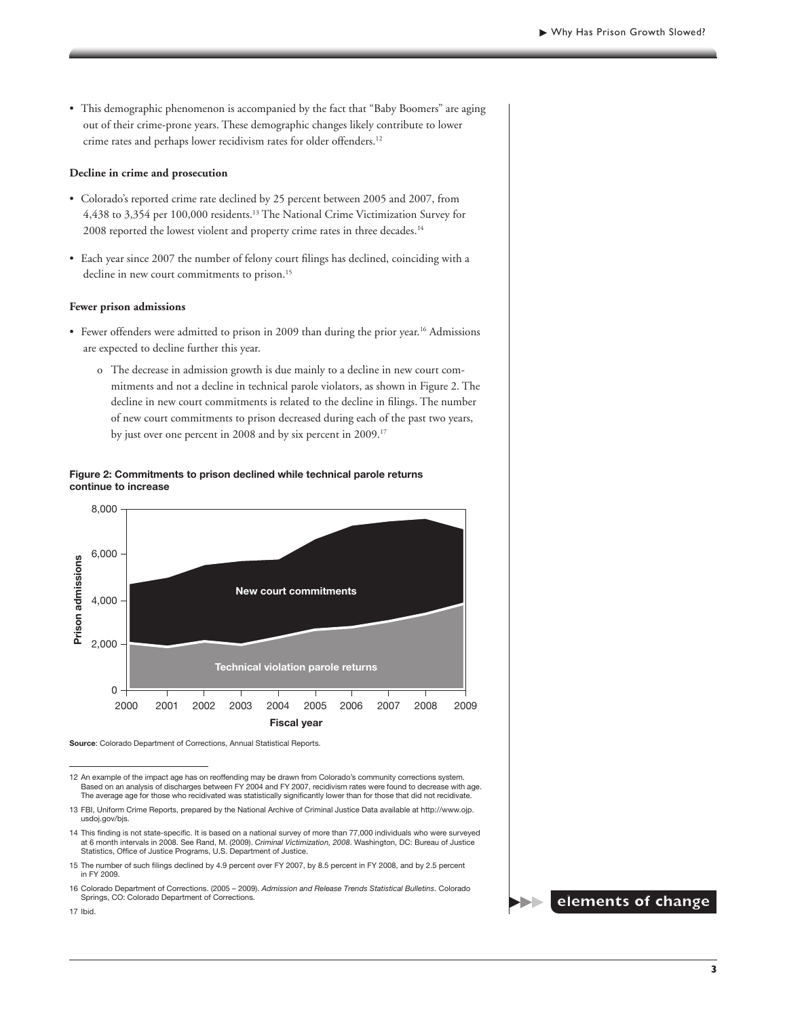• This demographic phenomenon is accompanied by the fact that "Baby Boomers" are aging out of their crime-prone years. These demographic changes likely contribute to lower crime rates and perhaps lower recidivism rates for older offenders.<sup>12</sup>

#### **Decline in crime and prosecution**

- • Colorado's reported crime rate declined by 25 percent between 2005 and 2007, from 4,438 to 3,354 per 100,000 residents.13 The National Crime Victimization Survey for 2008 reported the lowest violent and property crime rates in three decades.<sup>14</sup>
- • Each year since 2007 the number of felony court filings has declined, coinciding with a decline in new court commitments to prison.<sup>15</sup>

#### **Fewer prison admissions**

- Fewer offenders were admitted to prison in 2009 than during the prior year.<sup>16</sup> Admissions are expected to decline further this year.
	- o The decrease in admission growth is due mainly to a decline in new court commitments and not a decline in technical parole violators, as shown in Figure 2. The decline in new court commitments is related to the decline in filings. The number of new court commitments to prison decreased during each of the past two years, by just over one percent in 2008 and by six percent in 2009.<sup>17</sup>

#### Figure 2: Commitments to prison declined while technical parole returns continue to increase



Source: Colorado Department of Corrections, Annual Statistical Reports.

12 An example of the impact age has on reoffending may be drawn from Colorado's community corrections system. Based on an analysis of discharges between FY 2004 and FY 2007, recidivism rates were found to decrease with age. The average age for those who recidivated was statistically significantly lower than for those that did not recidivate.

14 This finding is not state-specific. It is based on a national survey of more than 77,000 individuals who were surveyed at 6 month intervals in 2008. See Rand, M. (2009). *Criminal Victimization, 2008*. Washington, DC: Bureau of Justice Statistics, Office of Justice Programs, U.S. Department of Justice.

16 Colorado Department of Corrections. (2005 – 2009). *Admission and Release Trends Statistical Bulletins*. Colorado Springs, CO: Colorado Department of Corrections.



17 Ibid.

<sup>13</sup> FBI, Uniform Crime Reports, prepared by the National Archive of Criminal Justice Data available at http://www.ojp. usdoj.gov/bjs.

<sup>15</sup> The number of such filings declined by 4.9 percent over FY 2007, by 8.5 percent in FY 2008, and by 2.5 percent in FY 2009.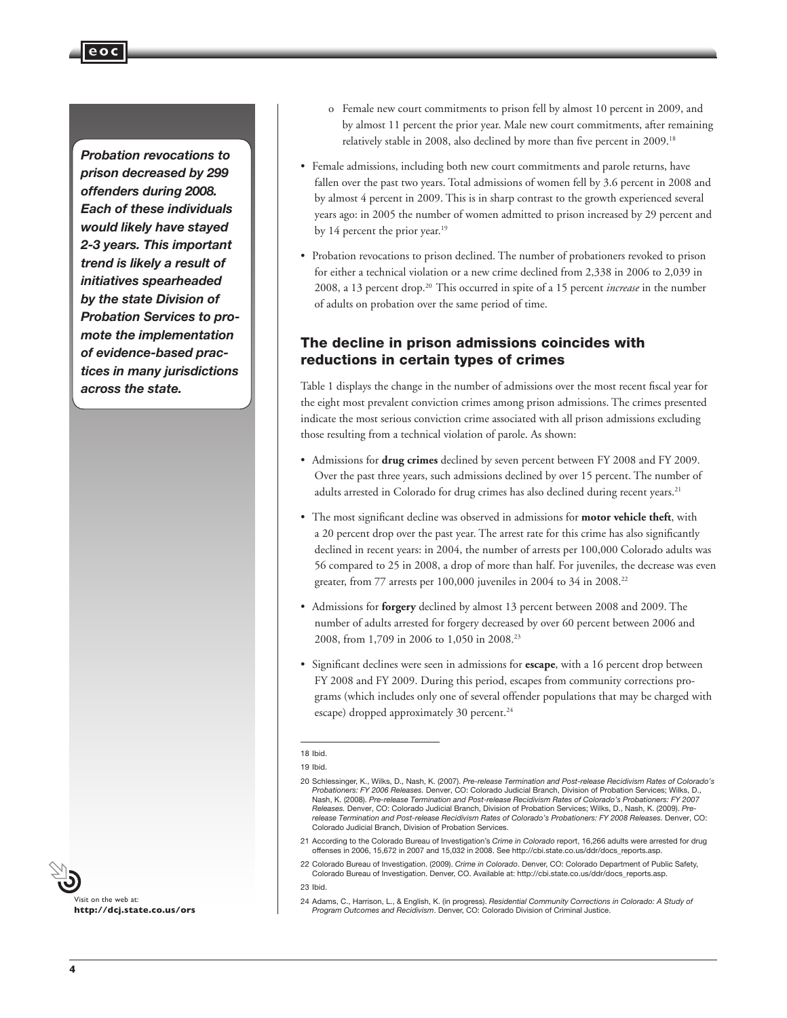*Probation revocations to prison decreased by 299 offenders during 2008. Each of these individuals would likely have stayed 2-3 years. This important trend is likely a result of initiatives spearheaded by the state Division of Probation Services to promote the implementation of evidence-based practices in many jurisdictions across the state.*

**eoc**



- o Female new court commitments to prison fell by almost 10 percent in 2009, and by almost 11 percent the prior year. Male new court commitments, after remaining relatively stable in 2008, also declined by more than five percent in 2009.18
- • Female admissions, including both new court commitments and parole returns, have fallen over the past two years. Total admissions of women fell by 3.6 percent in 2008 and by almost 4 percent in 2009. This is in sharp contrast to the growth experienced several years ago: in 2005 the number of women admitted to prison increased by 29 percent and by 14 percent the prior year.<sup>19</sup>
- Probation revocations to prison declined. The number of probationers revoked to prison for either a technical violation or a new crime declined from 2,338 in 2006 to 2,039 in 2008, a 13 percent drop.20 This occurred in spite of a 15 percent *increase* in the number of adults on probation over the same period of time.

#### The decline in prison admissions coincides with reductions in certain types of crimes

Table 1 displays the change in the number of admissions over the most recent fiscal year for the eight most prevalent conviction crimes among prison admissions. The crimes presented indicate the most serious conviction crime associated with all prison admissions excluding those resulting from a technical violation of parole. As shown:

- • Admissions for **drug crimes** declined by seven percent between FY 2008 and FY 2009. Over the past three years, such admissions declined by over 15 percent. The number of adults arrested in Colorado for drug crimes has also declined during recent years.<sup>21</sup>
- • The most significant decline was observed in admissions for **motor vehicle theft**, with a 20 percent drop over the past year. The arrest rate for this crime has also significantly declined in recent years: in 2004, the number of arrests per 100,000 Colorado adults was 56 compared to 25 in 2008, a drop of more than half. For juveniles, the decrease was even greater, from 77 arrests per 100,000 juveniles in 2004 to 34 in 2008.<sup>22</sup>
- • Admissions for **forgery** declined by almost 13 percent between 2008 and 2009. The number of adults arrested for forgery decreased by over 60 percent between 2006 and 2008, from 1,709 in 2006 to 1,050 in 2008.23
- • Significant declines were seen in admissions for **escape**, with a 16 percent drop between FY 2008 and FY 2009. During this period, escapes from community corrections programs (which includes only one of several offender populations that may be charged with escape) dropped approximately 30 percent.<sup>24</sup>

<sup>18</sup> Ibid.

<sup>19</sup> Ibid.

<sup>20</sup> Schlessinger, K., Wilks, D., Nash, K. (2007). *Pre-release Termination and Post-release Recidivism Rates of Colorado's Probationers: FY 2006 Releases.* Denver, CO: Colorado Judicial Branch, Division of Probation Services; Wilks, D., Nash, K. (2008). *Pre-release Termination and Post-release Recidivism Rates of Colorado's Probationers: FY 2007 Releases.* Denver, CO: Colorado Judicial Branch, Division of Probation Services; Wilks, D., Nash, K. (2009). *Prerelease Termination and Post-release Recidivism Rates of Colorado's Probationers: FY 2008 Releases.* Denver, CO: Colorado Judicial Branch, Division of Probation Services.

<sup>21</sup> According to the Colorado Bureau of Investigation's *Crime in Colorado* report, 16,266 adults were arrested for drug offenses in 2006, 15,672 in 2007 and 15,032 in 2008. See http://cbi.state.co.us/ddr/docs\_reports.asp.

<sup>22</sup> Colorado Bureau of Investigation. (2009). *Crime in Colorado*. Denver, CO: Colorado Department of Public Safety, Colorado Bureau of Investigation. Denver, CO. Available at: http://cbi.state.co.us/ddr/docs\_reports.asp.

<sup>23</sup> Ibid.

<sup>24</sup> Adams, C., Harrison, L., & English, K. (in progress). *Residential Community Corrections in Colorado: A Study of Program Outcomes and Recidivism*. Denver, CO: Colorado Division of Criminal Justice.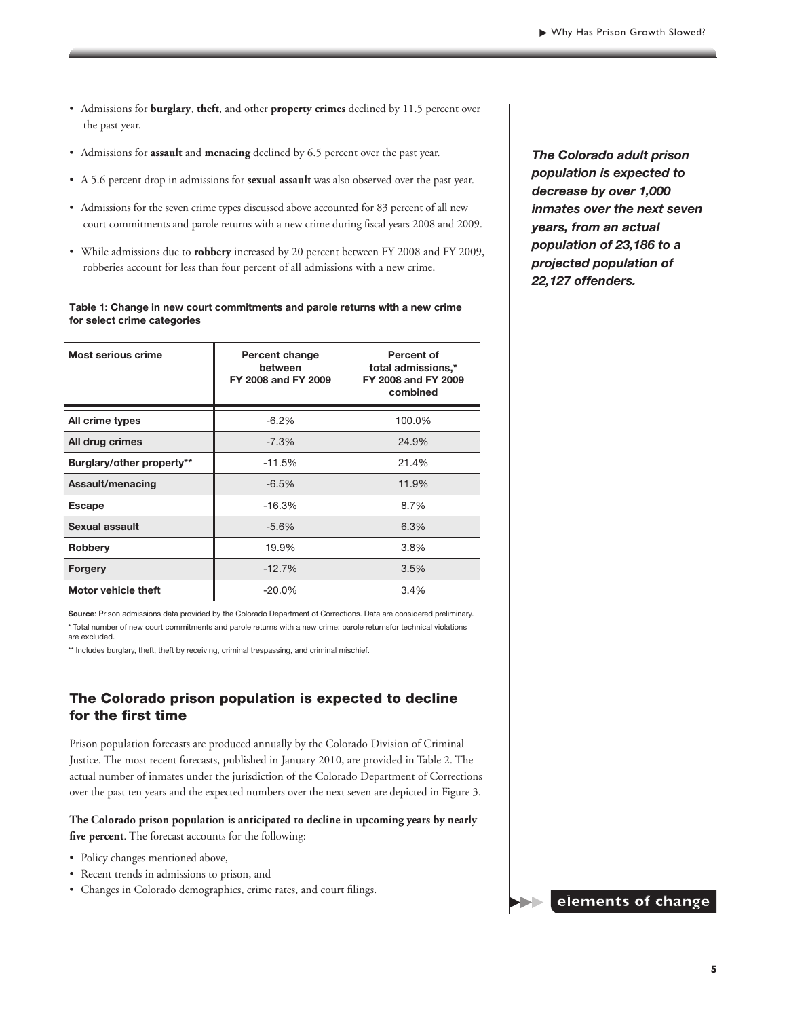- • Admissions for **burglary**, **theft**, and other **property crimes** declined by 11.5 percent over the past year.
- • Admissions for **assault** and **menacing** declined by 6.5 percent over the past year.
- • A 5.6 percent drop in admissions for **sexual assault** was also observed over the past year.
- Admissions for the seven crime types discussed above accounted for 83 percent of all new court commitments and parole returns with a new crime during fiscal years 2008 and 2009.
- • While admissions due to **robbery** increased by 20 percent between FY 2008 and FY 2009, robberies account for less than four percent of all admissions with a new crime.

#### Table 1: Change in new court commitments and parole returns with a new crime for select crime categories

| Most serious crime         | Percent change<br>between<br>FY 2008 and FY 2009 | <b>Percent of</b><br>total admissions,*<br>FY 2008 and FY 2009<br>combined |  |
|----------------------------|--------------------------------------------------|----------------------------------------------------------------------------|--|
| All crime types            | $-6.2%$                                          | 100.0%                                                                     |  |
| All drug crimes            | $-7.3%$                                          | 24.9%                                                                      |  |
| Burglary/other property**  | $-11.5%$                                         | 21.4%                                                                      |  |
| Assault/menacing           | $-6.5%$                                          | 11.9%                                                                      |  |
| <b>Escape</b>              | $-16.3%$                                         | 8.7%                                                                       |  |
| Sexual assault             | $-5.6%$                                          | 6.3%                                                                       |  |
| <b>Robbery</b>             | 19.9%                                            | 3.8%                                                                       |  |
| <b>Forgery</b>             | $-12.7%$                                         | 3.5%                                                                       |  |
| <b>Motor vehicle theft</b> | $-20.0\%$                                        | 3.4%                                                                       |  |

Source: Prison admissions data provided by the Colorado Department of Corrections. Data are considered preliminary. \* Total number of new court commitments and parole returns with a new crime: parole returnsfor technical violations are excluded.

\*\* Includes burglary, theft, theft by receiving, criminal trespassing, and criminal mischief.

#### The Colorado prison population is expected to decline for the first time

Prison population forecasts are produced annually by the Colorado Division of Criminal Justice. The most recent forecasts, published in January 2010, are provided in Table 2. The actual number of inmates under the jurisdiction of the Colorado Department of Corrections over the past ten years and the expected numbers over the next seven are depicted in Figure 3.

**The Colorado prison population is anticipated to decline in upcoming years by nearly five percent**. The forecast accounts for the following:

- Policy changes mentioned above,
- • Recent trends in admissions to prison, and
- • Changes in Colorado demographics, crime rates, and court filings.

*The Colorado adult prison population is expected to decrease by over 1,000 inmates over the next seven years, from an actual population of 23,186 to a projected population of 22,127 offenders.*

**elements of change**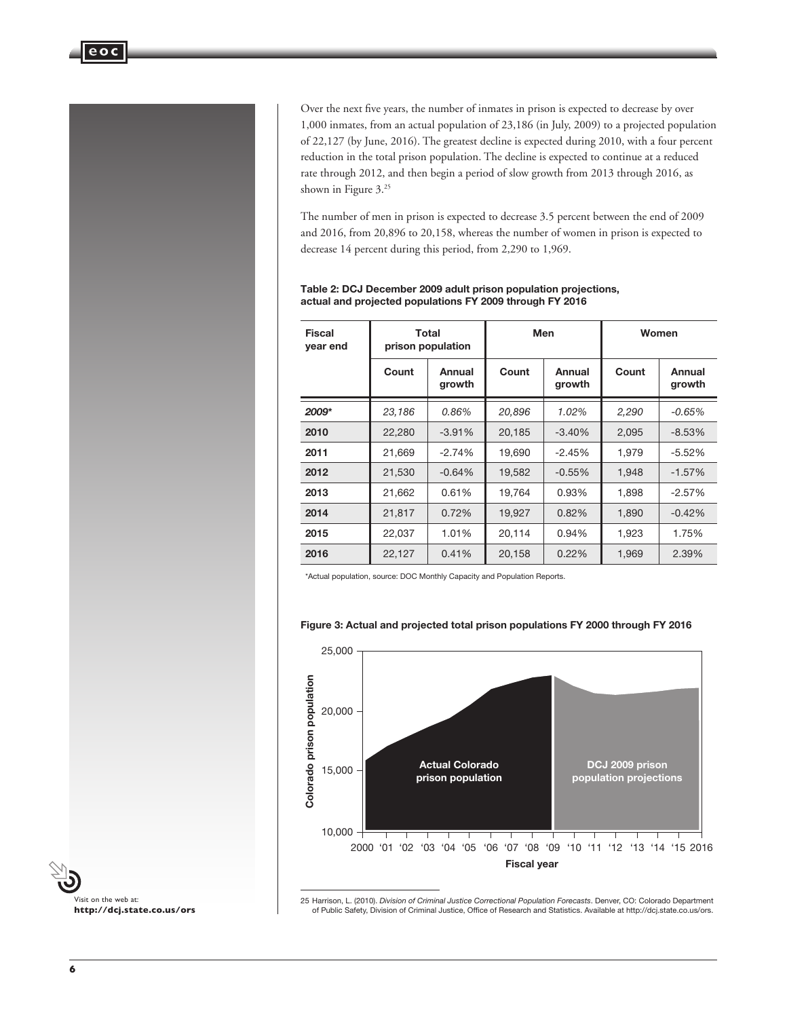

Over the next five years, the number of inmates in prison is expected to decrease by over 1,000 inmates, from an actual population of 23,186 (in July, 2009) to a projected population of 22,127 (by June, 2016). The greatest decline is expected during 2010, with a four percent reduction in the total prison population. The decline is expected to continue at a reduced rate through 2012, and then begin a period of slow growth from 2013 through 2016, as shown in Figure 3.<sup>25</sup>

The number of men in prison is expected to decrease 3.5 percent between the end of 2009 and 2016, from 20,896 to 20,158, whereas the number of women in prison is expected to decrease 14 percent during this period, from 2,290 to 1,969.

| <b>Fiscal</b><br>year end | Total<br>prison population |                  | Men    |                  | Women |                  |
|---------------------------|----------------------------|------------------|--------|------------------|-------|------------------|
|                           | Count                      | Annual<br>growth | Count  | Annual<br>growth | Count | Annual<br>growth |
| 2009*                     | 23,186                     | 0.86%            | 20,896 | 1.02%            | 2,290 | $-0.65%$         |
| 2010                      | 22,280                     | $-3.91%$         | 20,185 | $-3.40%$         | 2,095 | $-8.53%$         |
| 2011                      | 21,669                     | $-2.74%$         | 19,690 | $-2.45%$         | 1.979 | $-5.52%$         |
| 2012                      | 21,530                     | $-0.64%$         | 19,582 | $-0.55%$         | 1,948 | $-1.57%$         |
| 2013                      | 21,662                     | 0.61%            | 19,764 | 0.93%            | 1,898 | $-2.57%$         |
| 2014                      | 21,817                     | 0.72%            | 19,927 | 0.82%            | 1,890 | $-0.42%$         |
| 2015                      | 22,037                     | 1.01%            | 20,114 | 0.94%            | 1,923 | 1.75%            |
| 2016                      | 22,127                     | 0.41%            | 20,158 | 0.22%            | 1,969 | 2.39%            |

#### Table 2: DCJ December 2009 adult prison population projections, actual and projected populations FY 2009 through FY 2016

\*Actual population, source: DOC Monthly Capacity and Population Reports.

#### Figure 3: Actual and projected total prison populations FY 2000 through FY 2016





25 Harrison, L. (2010). *Division of Criminal Justice Correctional Population Forecasts*. Denver, CO: Colorado Department<br>.of Public Safety, Division of Criminal Justice, Office of Research and Statistics. Available at htt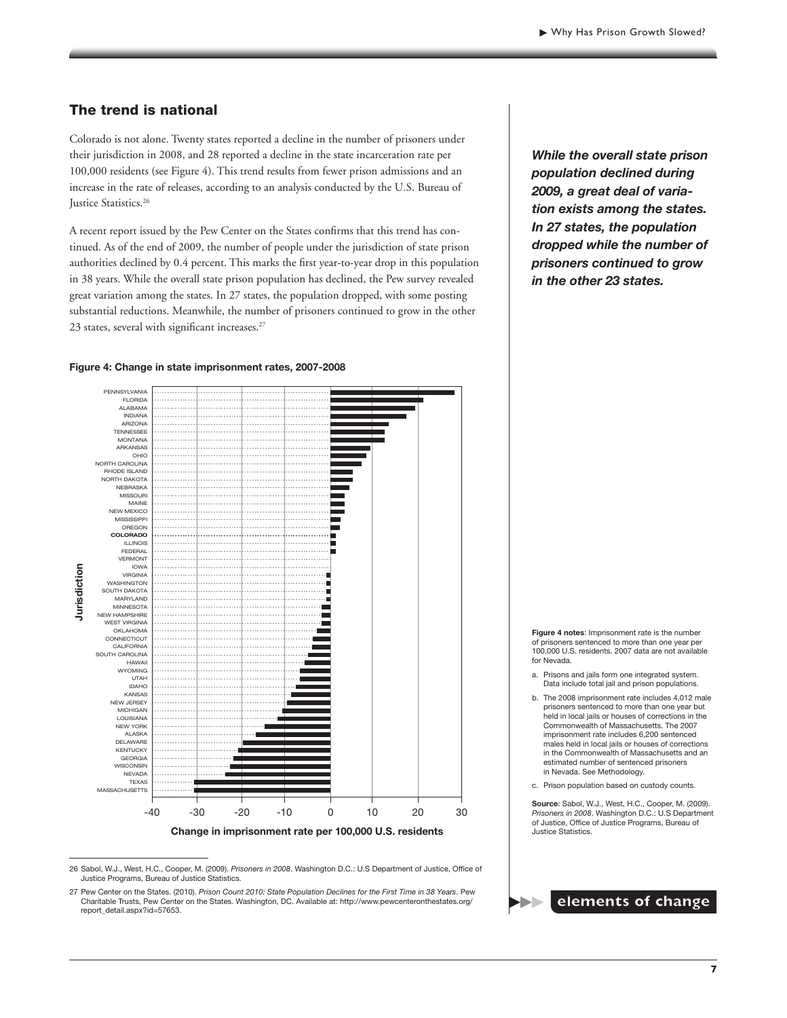#### The trend is national

Colorado is not alone. Twenty states reported a decline in the number of prisoners under their jurisdiction in 2008, and 28 reported a decline in the state incarceration rate per 100,000 residents (see Figure 4). This trend results from fewer prison admissions and an increase in the rate of releases, according to an analysis conducted by the U.S. Bureau of Justice Statistics.<sup>26</sup>

A recent report issued by the Pew Center on the States confirms that this trend has continued. As of the end of 2009, the number of people under the jurisdiction of state prison authorities declined by 0.4 percent. This marks the first year-to-year drop in this population in 38 years. While the overall state prison population has declined, the Pew survey revealed great variation among the states. In 27 states, the population dropped, with some posting substantial reductions. Meanwhile, the number of prisoners continued to grow in the other 23 states, several with significant increases.<sup>27</sup>

#### PENNSYLVANIA FLORIDA ALABAMA INDIANA ARIZONA TENNESSEE MONTANA ARKANSAS OHIO . . . . . . . . . . NORTH CAROLINA RHODE ISLAND NORTH DAKOTA NEBRASKA MISSOURI MAINE **NEW MEXICC** MISSISSIPPI OREGON ۰ **COLORADO** ۳ ILLINOIS FEDERAL H . . . . . . . . . . . VERMONT IOWA lurisdiction **Jurisdiction**VIRGINIA . . . . . . . . . . . WASHINGTON SOUTH DAKOTA MARYLAND . . . . . . . . . . . MINNESOTA NEW HAMPSHIRE WEST VIRGINIA OKLAHOMA CONNECTICUT **CALIFORNIA** . . . . . . . . . . . SOUTH CAROLINA **HAWAI** WYOMING UTAH IDAHO KANSAS NEW JERSEY MICHIGAN LOUISIANA NEW YORK ALASKA DELAWARE KENTUCKY **GEORGIA** SCONSIN **NEVADA** TEXAS MASSACHUSETTS -40 -30 -20 -10 0 10 20 30

#### Figure 4: Change in state imprisonment rates, 2007-2008

**Change in imprisonment rate per 100,000 U.S. residents**

26 Sabol, W.J., West, H.C., Cooper, M. (2009). *Prisoners in 2008*. Washington D.C.: U.S Department of Justice, Office of Justice Programs, Bureau of Justice Statistics.

*While the overall state prison population declined during 2009, a great deal of variation exists among the states. In 27 states, the population dropped while the number of prisoners continued to grow in the other 23 states.*

Figure 4 notes: Imprisonment rate is the number of prisoners sentenced to more than one year per 100,000 U.S. residents. 2007 data are not available for Nevada.

- a. Prisons and jails form one integrated system. Data include total jail and prison populations.
- b. The 2008 imprisonment rate includes 4,012 male prisoners sentenced to more than one year but held in local jails or houses of corrections in the Commonwealth of Massachusetts. The 2007 imprisonment rate includes 6,200 sentenced males held in local jails or houses of corrections in the Commonwealth of Massachusetts and an estimated number of sentenced prisoners in Nevada. See Methodology.

c. Prison population based on custody counts.

Source: Sabol, W.J., West, H.C., Cooper, M. (2009). *Prisoners in 2008*. Washington D.C.: U.S Department of Justice, Office of Justice Programs, Bureau of Justice Statistics.



<sup>27</sup> Pew Center on the States. (2010). *Prison Count 2010: State Population Declines for the First Time in 38 Years*. Pew Charitable Trusts, Pew Center on the States. Washington, DC. Available at: http://www.pewcenteronthestates.org/ report\_detail.aspx?id=57653.